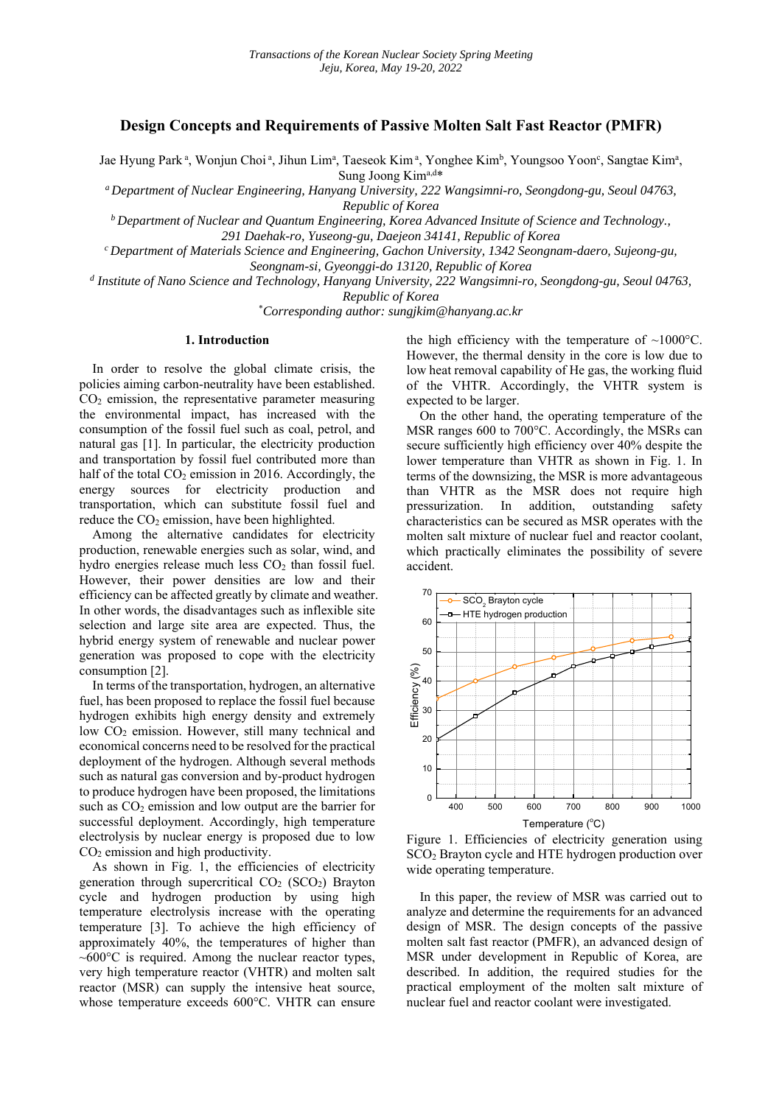# **Design Concepts and Requirements of Passive Molten Salt Fast Reactor (PMFR)**

Jae Hyung Park<sup>a</sup>, Wonjun Choi<sup>a</sup>, Jihun Lim<sup>a</sup>, Taeseok Kim<sup>a</sup>, Yonghee Kim<sup>b</sup>, Youngsoo Yoon<sup>c</sup>, Sangtae Kim<sup>a</sup>, Sung Joong Kima,d\*

*a Department of Nuclear Engineering, Hanyang University, 222 Wangsimni-ro, Seongdong-gu, Seoul 04763,* 

*Republic of Korea*<br><sup>*b*</sup> Department of Nuclear and Quantum Engineering, Korea Advanced Insitute of Science and Technology., <sup>*b*</sup>

*291 Daehak-ro, Yuseong-gu, Daejeon 34141, Republic of Korea c Department of Materials Science and Engineering, Gachon University, 1342 Seongnam-daero, Sujeong-gu, Seongnam-si, Gyeonggi-do 13120, Republic of Korea* 

*d Institute of Nano Science and Technology, Hanyang University, 222 Wangsimni-ro, Seongdong-gu, Seoul 04763,* 

*Republic of Korea* 

\* *Corresponding author: sungjkim@hanyang.ac.kr* 

### **1. Introduction**

In order to resolve the global climate crisis, the policies aiming carbon-neutrality have been established.  $CO<sub>2</sub>$  emission, the representative parameter measuring the environmental impact, has increased with the consumption of the fossil fuel such as coal, petrol, and natural gas [1]. In particular, the electricity production and transportation by fossil fuel contributed more than half of the total  $CO<sub>2</sub>$  emission in 2016. Accordingly, the energy sources for electricity production and transportation, which can substitute fossil fuel and reduce the  $CO<sub>2</sub>$  emission, have been highlighted.

Among the alternative candidates for electricity production, renewable energies such as solar, wind, and hydro energies release much less  $CO<sub>2</sub>$  than fossil fuel. However, their power densities are low and their efficiency can be affected greatly by climate and weather. In other words, the disadvantages such as inflexible site selection and large site area are expected. Thus, the hybrid energy system of renewable and nuclear power generation was proposed to cope with the electricity consumption [2].

In terms of the transportation, hydrogen, an alternative fuel, has been proposed to replace the fossil fuel because hydrogen exhibits high energy density and extremely low CO<sub>2</sub> emission. However, still many technical and economical concerns need to be resolved for the practical deployment of the hydrogen. Although several methods such as natural gas conversion and by-product hydrogen to produce hydrogen have been proposed, the limitations such as  $CO<sub>2</sub>$  emission and low output are the barrier for successful deployment. Accordingly, high temperature electrolysis by nuclear energy is proposed due to low CO2 emission and high productivity.

As shown in Fig. 1, the efficiencies of electricity generation through supercritical  $CO<sub>2</sub> (SCO<sub>2</sub>)$  Brayton cycle and hydrogen production by using high temperature electrolysis increase with the operating temperature [3]. To achieve the high efficiency of approximately 40%, the temperatures of higher than  $~600^{\circ}$ C is required. Among the nuclear reactor types, very high temperature reactor (VHTR) and molten salt reactor (MSR) can supply the intensive heat source, whose temperature exceeds 600°C. VHTR can ensure the high efficiency with the temperature of  $\sim 1000^{\circ}$ C. However, the thermal density in the core is low due to low heat removal capability of He gas, the working fluid of the VHTR. Accordingly, the VHTR system is expected to be larger.

On the other hand, the operating temperature of the MSR ranges 600 to 700°C. Accordingly, the MSRs can secure sufficiently high efficiency over 40% despite the lower temperature than VHTR as shown in Fig. 1. In terms of the downsizing, the MSR is more advantageous than VHTR as the MSR does not require high pressurization. In addition, outstanding safety characteristics can be secured as MSR operates with the molten salt mixture of nuclear fuel and reactor coolant, which practically eliminates the possibility of severe accident.



Figure 1. Efficiencies of electricity generation using SCO2 Brayton cycle and HTE hydrogen production over wide operating temperature.

In this paper, the review of MSR was carried out to analyze and determine the requirements for an advanced design of MSR. The design concepts of the passive molten salt fast reactor (PMFR), an advanced design of MSR under development in Republic of Korea, are described. In addition, the required studies for the practical employment of the molten salt mixture of nuclear fuel and reactor coolant were investigated.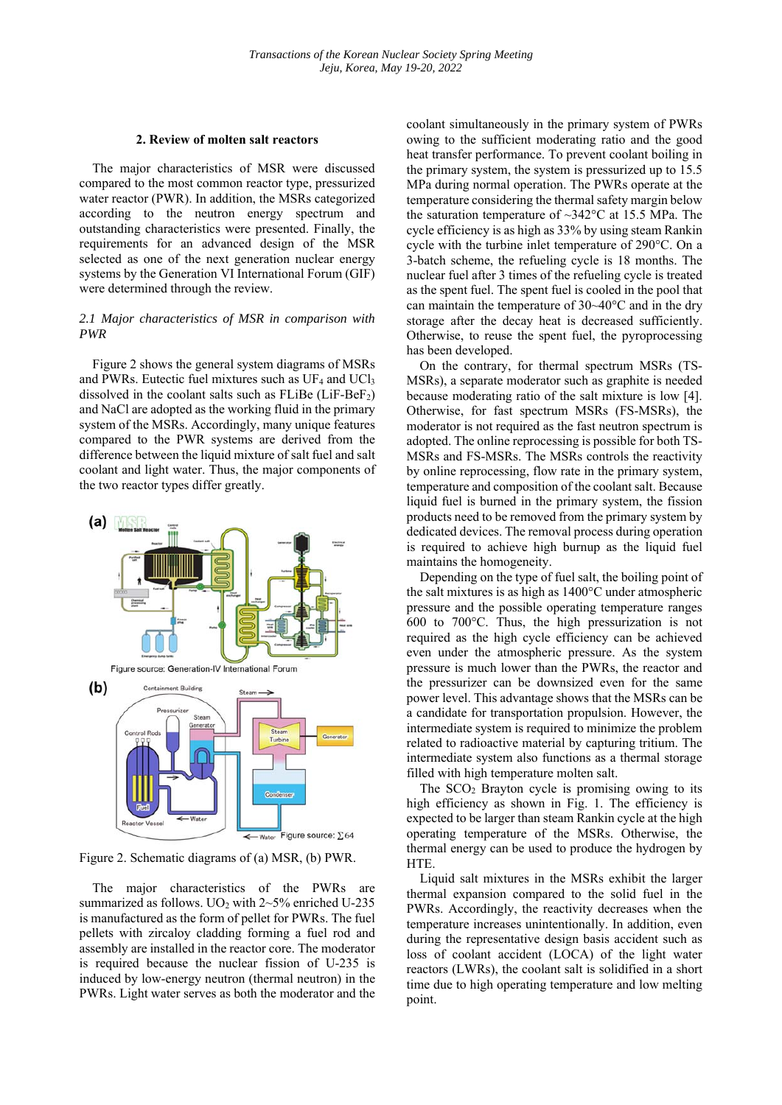#### **2. Review of molten salt reactors**

The major characteristics of MSR were discussed compared to the most common reactor type, pressurized water reactor (PWR). In addition, the MSRs categorized according to the neutron energy spectrum and outstanding characteristics were presented. Finally, the requirements for an advanced design of the MSR selected as one of the next generation nuclear energy systems by the Generation Ⅵ International Forum (GIF) were determined through the review.

# *2.1 Major characteristics of MSR in comparison with PWR*

Figure 2 shows the general system diagrams of MSRs and PWRs. Eutectic fuel mixtures such as  $UF_4$  and  $UCl_3$ dissolved in the coolant salts such as  $FLiBe$  ( $LiF-BeF<sub>2</sub>$ ) and NaCl are adopted as the working fluid in the primary system of the MSRs. Accordingly, many unique features compared to the PWR systems are derived from the difference between the liquid mixture of salt fuel and salt coolant and light water. Thus, the major components of the two reactor types differ greatly.



Figure 2. Schematic diagrams of (a) MSR, (b) PWR.

The major characteristics of the PWRs are summarized as follows. UO<sub>2</sub> with  $2~5\%$  enriched U-235 is manufactured as the form of pellet for PWRs. The fuel pellets with zircaloy cladding forming a fuel rod and assembly are installed in the reactor core. The moderator is required because the nuclear fission of U-235 is induced by low-energy neutron (thermal neutron) in the PWRs. Light water serves as both the moderator and the

coolant simultaneously in the primary system of PWRs owing to the sufficient moderating ratio and the good heat transfer performance. To prevent coolant boiling in the primary system, the system is pressurized up to 15.5 MPa during normal operation. The PWRs operate at the temperature considering the thermal safety margin below the saturation temperature of  $\sim$ 342°C at 15.5 MPa. The cycle efficiency is as high as 33% by using steam Rankin cycle with the turbine inlet temperature of 290°C. On a 3-batch scheme, the refueling cycle is 18 months. The nuclear fuel after 3 times of the refueling cycle is treated as the spent fuel. The spent fuel is cooled in the pool that can maintain the temperature of 30~40°C and in the dry storage after the decay heat is decreased sufficiently. Otherwise, to reuse the spent fuel, the pyroprocessing has been developed.

On the contrary, for thermal spectrum MSRs (TS-MSRs), a separate moderator such as graphite is needed because moderating ratio of the salt mixture is low [4]. Otherwise, for fast spectrum MSRs (FS-MSRs), the moderator is not required as the fast neutron spectrum is adopted. The online reprocessing is possible for both TS-MSRs and FS-MSRs. The MSRs controls the reactivity by online reprocessing, flow rate in the primary system, temperature and composition of the coolant salt. Because liquid fuel is burned in the primary system, the fission products need to be removed from the primary system by dedicated devices. The removal process during operation is required to achieve high burnup as the liquid fuel maintains the homogeneity.

Depending on the type of fuel salt, the boiling point of the salt mixtures is as high as 1400°C under atmospheric pressure and the possible operating temperature ranges 600 to 700°C. Thus, the high pressurization is not required as the high cycle efficiency can be achieved even under the atmospheric pressure. As the system pressure is much lower than the PWRs, the reactor and the pressurizer can be downsized even for the same power level. This advantage shows that the MSRs can be a candidate for transportation propulsion. However, the intermediate system is required to minimize the problem related to radioactive material by capturing tritium. The intermediate system also functions as a thermal storage filled with high temperature molten salt.

The  $SCO<sub>2</sub>$  Brayton cycle is promising owing to its high efficiency as shown in Fig. 1. The efficiency is expected to be larger than steam Rankin cycle at the high operating temperature of the MSRs. Otherwise, the thermal energy can be used to produce the hydrogen by HTE.

Liquid salt mixtures in the MSRs exhibit the larger thermal expansion compared to the solid fuel in the PWRs. Accordingly, the reactivity decreases when the temperature increases unintentionally. In addition, even during the representative design basis accident such as loss of coolant accident (LOCA) of the light water reactors (LWRs), the coolant salt is solidified in a short time due to high operating temperature and low melting point.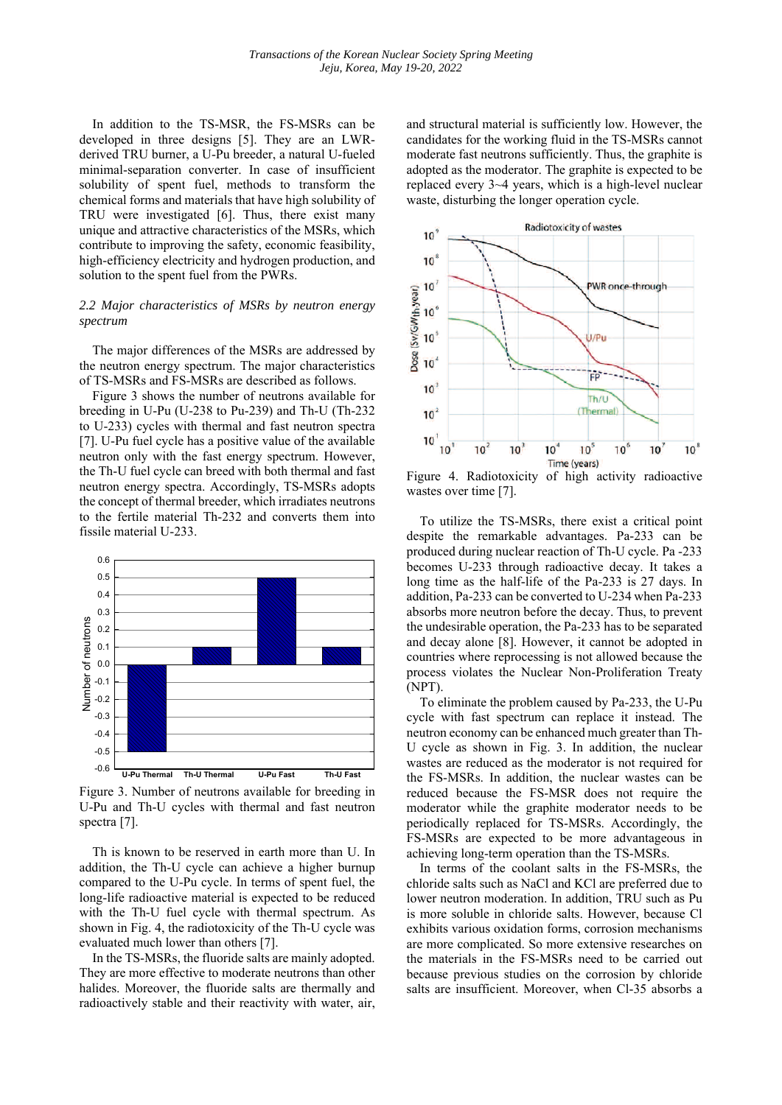In addition to the TS-MSR, the FS-MSRs can be developed in three designs [5]. They are an LWRderived TRU burner, a U-Pu breeder, a natural U-fueled minimal-separation converter. In case of insufficient solubility of spent fuel, methods to transform the chemical forms and materials that have high solubility of TRU were investigated [6]. Thus, there exist many unique and attractive characteristics of the MSRs, which contribute to improving the safety, economic feasibility, high-efficiency electricity and hydrogen production, and solution to the spent fuel from the PWRs.

# *2.2 Major characteristics of MSRs by neutron energy spectrum*

The major differences of the MSRs are addressed by the neutron energy spectrum. The major characteristics of TS-MSRs and FS-MSRs are described as follows.

Figure 3 shows the number of neutrons available for breeding in U-Pu (U-238 to Pu-239) and Th-U (Th-232 to U-233) cycles with thermal and fast neutron spectra [7]. U-Pu fuel cycle has a positive value of the available neutron only with the fast energy spectrum. However, the Th-U fuel cycle can breed with both thermal and fast neutron energy spectra. Accordingly, TS-MSRs adopts the concept of thermal breeder, which irradiates neutrons to the fertile material Th-232 and converts them into fissile material U-233.



Figure 3. Number of neutrons available for breeding in U-Pu and Th-U cycles with thermal and fast neutron spectra [7].

Th is known to be reserved in earth more than U. In addition, the Th-U cycle can achieve a higher burnup compared to the U-Pu cycle. In terms of spent fuel, the long-life radioactive material is expected to be reduced with the Th-U fuel cycle with thermal spectrum. As shown in Fig. 4, the radiotoxicity of the Th-U cycle was evaluated much lower than others [7].

In the TS-MSRs, the fluoride salts are mainly adopted. They are more effective to moderate neutrons than other halides. Moreover, the fluoride salts are thermally and radioactively stable and their reactivity with water, air, and structural material is sufficiently low. However, the candidates for the working fluid in the TS-MSRs cannot moderate fast neutrons sufficiently. Thus, the graphite is adopted as the moderator. The graphite is expected to be replaced every 3~4 years, which is a high-level nuclear waste, disturbing the longer operation cycle.



Figure 4. Radiotoxicity of high activity radioactive wastes over time [7].

To utilize the TS-MSRs, there exist a critical point despite the remarkable advantages. Pa-233 can be produced during nuclear reaction of Th-U cycle. Pa -233 becomes U-233 through radioactive decay. It takes a long time as the half-life of the Pa-233 is 27 days. In addition, Pa-233 can be converted to U-234 when Pa-233 absorbs more neutron before the decay. Thus, to prevent the undesirable operation, the Pa-233 has to be separated and decay alone [8]. However, it cannot be adopted in countries where reprocessing is not allowed because the process violates the Nuclear Non-Proliferation Treaty (NPT).

To eliminate the problem caused by Pa-233, the U-Pu cycle with fast spectrum can replace it instead. The neutron economy can be enhanced much greater than Th-U cycle as shown in Fig. 3. In addition, the nuclear wastes are reduced as the moderator is not required for the FS-MSRs. In addition, the nuclear wastes can be reduced because the FS-MSR does not require the moderator while the graphite moderator needs to be periodically replaced for TS-MSRs. Accordingly, the FS-MSRs are expected to be more advantageous in achieving long-term operation than the TS-MSRs.

In terms of the coolant salts in the FS-MSRs, the chloride salts such as NaCl and KCl are preferred due to lower neutron moderation. In addition, TRU such as Pu is more soluble in chloride salts. However, because Cl exhibits various oxidation forms, corrosion mechanisms are more complicated. So more extensive researches on the materials in the FS-MSRs need to be carried out because previous studies on the corrosion by chloride salts are insufficient. Moreover, when Cl-35 absorbs a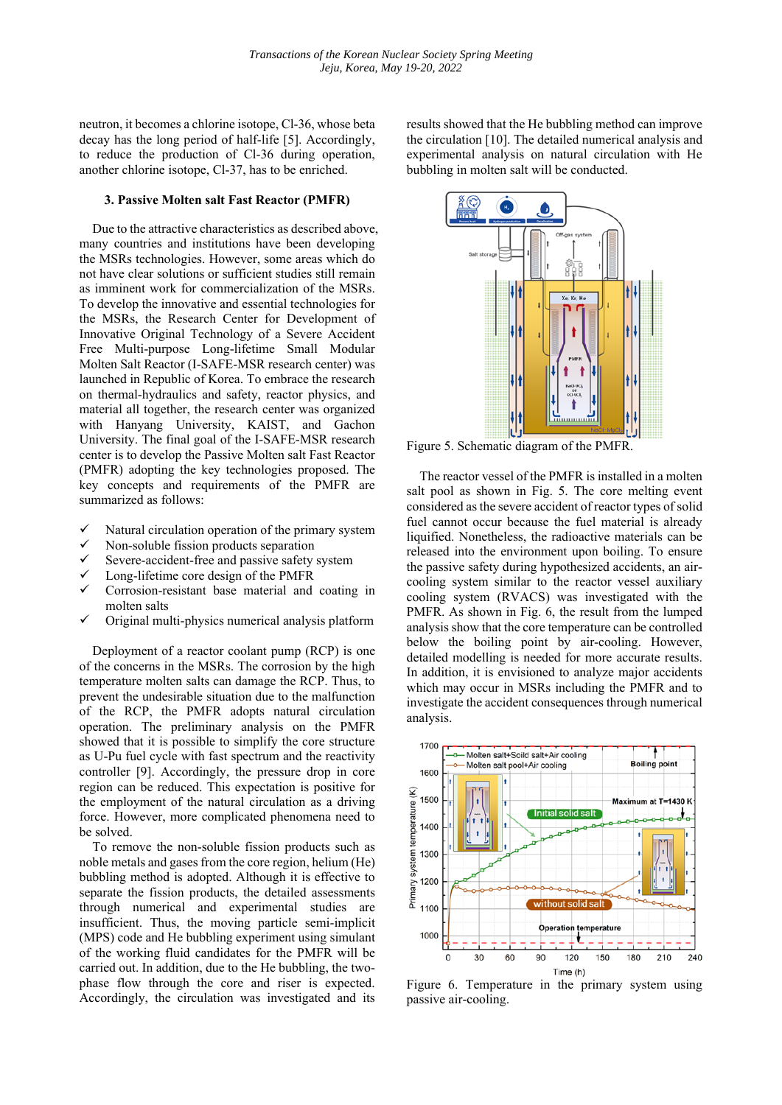neutron, it becomes a chlorine isotope, Cl-36, whose beta decay has the long period of half-life [5]. Accordingly, to reduce the production of Cl-36 during operation, another chlorine isotope, Cl-37, has to be enriched.

### **3. Passive Molten salt Fast Reactor (PMFR)**

Due to the attractive characteristics as described above, many countries and institutions have been developing the MSRs technologies. However, some areas which do not have clear solutions or sufficient studies still remain as imminent work for commercialization of the MSRs. To develop the innovative and essential technologies for the MSRs, the Research Center for Development of Innovative Original Technology of a Severe Accident Free Multi-purpose Long-lifetime Small Modular Molten Salt Reactor (I-SAFE-MSR research center) was launched in Republic of Korea. To embrace the research on thermal-hydraulics and safety, reactor physics, and material all together, the research center was organized with Hanyang University, KAIST, and Gachon University. The final goal of the I-SAFE-MSR research center is to develop the Passive Molten salt Fast Reactor (PMFR) adopting the key technologies proposed. The key concepts and requirements of the PMFR are summarized as follows:

- Natural circulation operation of the primary system
- Non-soluble fission products separation
- Severe-accident-free and passive safety system
- Long-lifetime core design of the PMFR
- Corrosion-resistant base material and coating in molten salts
- Original multi-physics numerical analysis platform

Deployment of a reactor coolant pump (RCP) is one of the concerns in the MSRs. The corrosion by the high temperature molten salts can damage the RCP. Thus, to prevent the undesirable situation due to the malfunction of the RCP, the PMFR adopts natural circulation operation. The preliminary analysis on the PMFR showed that it is possible to simplify the core structure as U-Pu fuel cycle with fast spectrum and the reactivity controller [9]. Accordingly, the pressure drop in core region can be reduced. This expectation is positive for the employment of the natural circulation as a driving force. However, more complicated phenomena need to be solved.

To remove the non-soluble fission products such as noble metals and gases from the core region, helium (He) bubbling method is adopted. Although it is effective to separate the fission products, the detailed assessments through numerical and experimental studies are insufficient. Thus, the moving particle semi-implicit (MPS) code and He bubbling experiment using simulant of the working fluid candidates for the PMFR will be carried out. In addition, due to the He bubbling, the twophase flow through the core and riser is expected. Accordingly, the circulation was investigated and its

results showed that the He bubbling method can improve the circulation [10]. The detailed numerical analysis and experimental analysis on natural circulation with He bubbling in molten salt will be conducted.



Figure 5. Schematic diagram of the PMFR.

The reactor vessel of the PMFR is installed in a molten salt pool as shown in Fig. 5. The core melting event considered as the severe accident of reactor types of solid fuel cannot occur because the fuel material is already liquified. Nonetheless, the radioactive materials can be released into the environment upon boiling. To ensure the passive safety during hypothesized accidents, an aircooling system similar to the reactor vessel auxiliary cooling system (RVACS) was investigated with the PMFR. As shown in Fig. 6, the result from the lumped analysis show that the core temperature can be controlled below the boiling point by air-cooling. However, detailed modelling is needed for more accurate results. In addition, it is envisioned to analyze major accidents which may occur in MSRs including the PMFR and to investigate the accident consequences through numerical analysis.



Figure 6. Temperature in the primary system using passive air-cooling.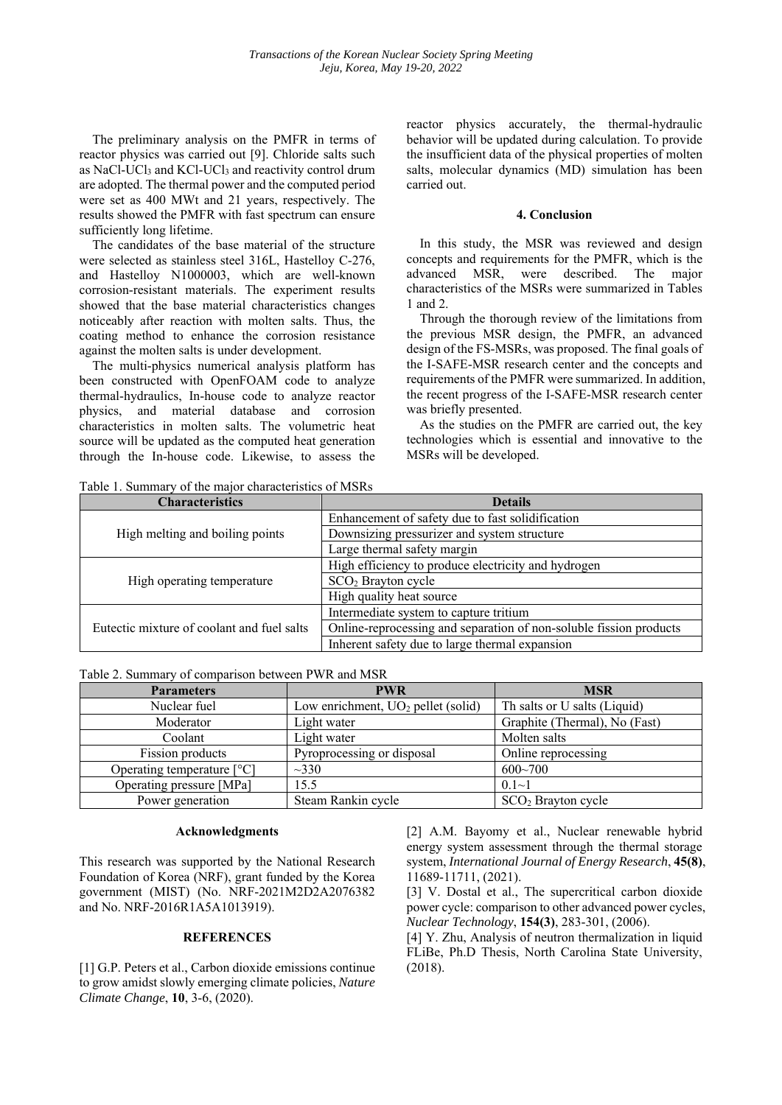The preliminary analysis on the PMFR in terms of reactor physics was carried out [9]. Chloride salts such as NaCl-UCl<sub>3</sub> and KCl-UCl<sub>3</sub> and reactivity control drum are adopted. The thermal power and the computed period were set as 400 MWt and 21 years, respectively. The results showed the PMFR with fast spectrum can ensure sufficiently long lifetime.

The candidates of the base material of the structure were selected as stainless steel 316L, Hastelloy C-276, and Hastelloy N1000003, which are well-known corrosion-resistant materials. The experiment results showed that the base material characteristics changes noticeably after reaction with molten salts. Thus, the coating method to enhance the corrosion resistance against the molten salts is under development.

The multi-physics numerical analysis platform has been constructed with OpenFOAM code to analyze thermal-hydraulics, In-house code to analyze reactor physics, and material database and corrosion characteristics in molten salts. The volumetric heat source will be updated as the computed heat generation through the In-house code. Likewise, to assess the

reactor physics accurately, the thermal-hydraulic behavior will be updated during calculation. To provide the insufficient data of the physical properties of molten salts, molecular dynamics (MD) simulation has been carried out.

# **4. Conclusion**

In this study, the MSR was reviewed and design concepts and requirements for the PMFR, which is the advanced MSR, were described. The major characteristics of the MSRs were summarized in Tables 1 and 2.

Through the thorough review of the limitations from the previous MSR design, the PMFR, an advanced design of the FS-MSRs, was proposed. The final goals of the I-SAFE-MSR research center and the concepts and requirements of the PMFR were summarized. In addition, the recent progress of the I-SAFE-MSR research center was briefly presented.

As the studies on the PMFR are carried out, the key technologies which is essential and innovative to the MSRs will be developed.

Table 1. Summary of the major characteristics of MSRs

| <b>Characteristics</b>                     | <b>Details</b>                                                     |
|--------------------------------------------|--------------------------------------------------------------------|
| High melting and boiling points            | Enhancement of safety due to fast solidification                   |
|                                            | Downsizing pressurizer and system structure                        |
|                                            | Large thermal safety margin                                        |
| High operating temperature                 | High efficiency to produce electricity and hydrogen                |
|                                            | $SCO2$ Brayton cycle                                               |
|                                            | High quality heat source                                           |
| Eutectic mixture of coolant and fuel salts | Intermediate system to capture tritium                             |
|                                            | Online-reprocessing and separation of non-soluble fission products |
|                                            | Inherent safety due to large thermal expansion                     |

Table 2. Summary of comparison between PWR and MSR

| <b>Parameters</b>            | <b>PWR</b>                           | <b>MSR</b>                     |
|------------------------------|--------------------------------------|--------------------------------|
| Nuclear fuel                 | Low enrichment, $UO2$ pellet (solid) | Th salts or U salts (Liquid)   |
| Moderator                    | Light water                          | Graphite (Thermal), No (Fast)  |
| Coolant                      | Light water                          | Molten salts                   |
| Fission products             | Pyroprocessing or disposal           | Online reprocessing            |
| Operating temperature $[°C]$ | $\sim$ 330                           | $600 - 700$                    |
| Operating pressure [MPa]     | 15.5                                 | $0.1 - 1$                      |
| Power generation             | Steam Rankin cycle                   | SCO <sub>2</sub> Brayton cycle |

#### **Acknowledgments**

This research was supported by the National Research Foundation of Korea (NRF), grant funded by the Korea government (MIST) (No. NRF-2021M2D2A2076382 and No. NRF-2016R1A5A1013919).

# **REFERENCES**

[1] G.P. Peters et al., Carbon dioxide emissions continue to grow amidst slowly emerging climate policies, *Nature Climate Change*, **10**, 3-6, (2020).

[2] A.M. Bayomy et al., Nuclear renewable hybrid energy system assessment through the thermal storage system, *International Journal of Energy Research*, **45(8)**, 11689-11711, (2021).

[3] V. Dostal et al., The supercritical carbon dioxide power cycle: comparison to other advanced power cycles, *Nuclear Technology*, **154(3)**, 283-301, (2006).

[4] Y. Zhu, Analysis of neutron thermalization in liquid FLiBe, Ph.D Thesis, North Carolina State University, (2018).